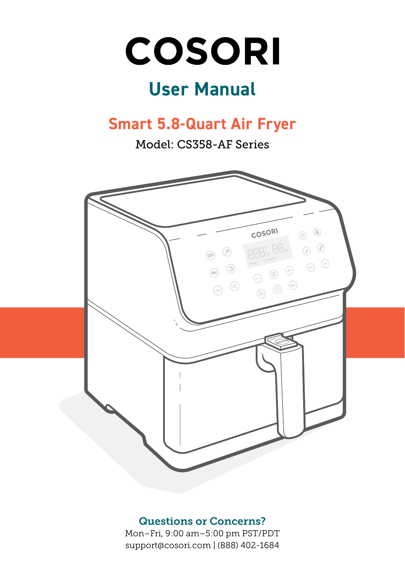# **COSORI**

## **User Manual**

## **Smart 5.8-Quart Air Fryer**

Model: CS358-AF Series



### Questions or Concerns?

Mon–Fri, 9:00 am–5:00 pm PST/PDT support@cosori.com | (888) 402-1684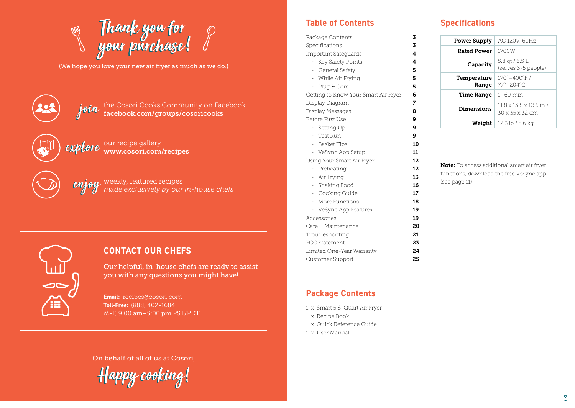(We hope you love your new air fryer as much as we do.)



### join the Cosori Cooks Community on Facebook facebook.com/groups/cosoricooks

explore our recipe gallery www.cosori.com/recipes

enjoy weekly, featured recipes *made exclusively by our in-house chefs*

### **CONTACT OUR CHEFS**

Our helpful, in-house chefs are ready to assist you with any questions you might have!

**Email:** recipes@cosori.com **Toll-Free:** (888) 402-1684 M-F, 9:00 am–5:00 pm PST/PDT

On behalf of all of us at Cosori,

Happy cooking!

### **Table of Contents**

<span id="page-1-0"></span>Package Contents Specifications [Important Safeguards](#page-2-0) · [Key Safety Points](#page-2-0) · [General Safety](#page-2-0) · [While Air Frying](#page-2-0) · [Plug & Cord](#page-2-0) [Getting to Know Your Smart Air Fryer](#page-3-0) [Display Diagram](#page-3-0) [Display Messages](#page-4-0) [Before First Use](#page-4-0) · [Setting Up](#page-4-0) · [Test Run](#page-4-0) · [Basket Tips](#page-5-0) · [VeSync App Setup](#page-5-0) [Using Your Smart Air Fryer](#page-6-0) · [Preheating](#page-6-0) · [Air Frying](#page-6-0) · [Shaking Food](#page-8-0) · [Cooking Guide](#page-8-0) · [More Functions](#page-9-0) · [VeSync App Features](#page-9-0) [Accessories](#page-9-0) [Care & Maintenance](#page-10-0) [Troubleshooting](#page-10-0) [FCC Statement](#page-11-0) [Limited One-Year Warranty](#page-12-0) [Customer Support](#page-12-0) 3 3 4 4 5 5 5 6 7 8 9 9  $\mathbf{Q}$ 10 11 12 12 13 16 17 18 19 19 20 21 23 24 25

### **Specifications**

| <b>Power Supply</b>  | AC 120V, 60Hz                                                   |  |
|----------------------|-----------------------------------------------------------------|--|
| <b>Rated Power</b>   | 1700W                                                           |  |
| Capacity             | 5.8 gt / 5.5 L<br>(serves 3-5 people)                           |  |
| Temperature<br>Range | $170^{\circ} - 400^{\circ}$ F/<br>$77^{\circ} - 204^{\circ}$ C. |  |
| Time Range           | $1 - 60$ min                                                    |  |
| Dimensions           | $11.8 \times 13.8 \times 12.6$ in /<br>30 x 35 x 32 cm          |  |
| Weight               | 12.3 lb / 5.6 kg                                                |  |

Note: To access additional smart air fryer functions, download the free VeSync app (see [page 11\)](#page-5-1).

### **Package Contents**

- 1 x Smart 5.8-Quart Air Fryer
- 1 x Recipe Book
- 1 x Quick Reference Guide
- 1 x User Manual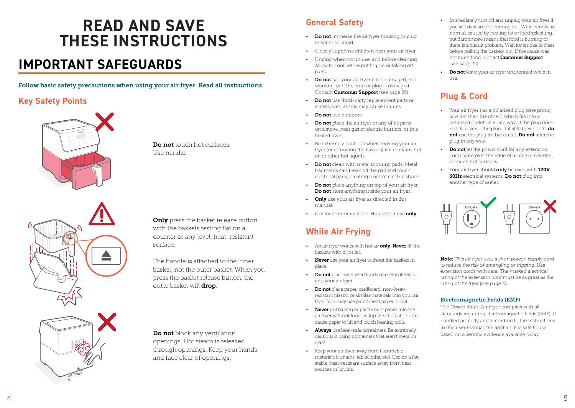## **READ AND SAVE THESE INSTRUCTIONS**

## <span id="page-2-0"></span>**IMPORTANT SAFEGUARDS**

### Follow basic safety precautions when using your air fryer. Read all instructions.

### **Key Safety Points**





Only press the basket release button with the baskets resting flat on a counter or any level, heat-resistant surface.

Do not touch hot surfaces.

Use handle.

The handle is attached to the inner basket, not the outer basket. When you press the basket release button, the outer basket will **drop**.

Do not block any ventilation openings. Hot steam is released through openings. Keep your hands and face clear of openings.

### **General Safety**

- Do not immerse the air fryer housing or plug in water or liquid.
- Closely supervise children near your air fryer.
- Unplug when not in use, and before cleaning. Allow to cool before putting on or taking off parts.
- Do not use your air fryer if it is damaged, not working, or if the cord or plug is damaged. Contact Customer Support (see [page 25\)](#page-12-1).
- Do not use third-party replacement parts or accessories, as this may cause injuries.
- Do not use outdoors.
- Do not place the air fryer or any of its parts on a stove, near gas or electric burners, or in a heated oven.
- Be extremely cautious when moving your air fryer (or removing the baskets) if it contains hot oil or other hot liquids.
- **Do not** clean with metal scouring pads. Metal fragments can break off the pad and touch electrical parts, creating a risk of electric shock.
- **Do not** place anything on top of your air fryer. Do not store anything inside your air fryer.
- Only use your air fryer as directed in this manual.
- Not for commercial use. Household use only.

### **While Air Frying**

- An air fryer works with hot air only. Never fill the baskets with oil or fat.
- Never use your air fryer without the baskets in place.
- Do not place oversized foods or metal utensils into your air fryer.
- Do not place paper, cardboard, non-heatresistant plastic, or similar materials into your air fryer. You may use parchment paper or foil.
- **Never** put baking or parchment paper into the air fryer without food on top. Air circulation can cause paper to lift and touch heating coils.
- Always use heat-safe containers. Be extremely cautious if using containers that aren't metal or glass.
- Keep your air fryer away from flammable materials (curtains, tablecloths, etc). Use on a flat, stable, heat-resistant surface away from heat sources or liquids.
- Immediately turn off and unplug your air fryer if you see dark smoke coming out. White smoke is normal, caused by heating fat or food splashing, but dark smoke means that food is burning or there is a circuit problem. Wait for smoke to clear before pulling the baskets out. If the cause was not burnt food, contact Customer Support (see [page 25\)](#page-12-1).
- Do not leave your air fryer unattended while in  $1180$

### **Plug & Cord**

- Your air fryer has a polarized plug (one prong is wider than the other), which fits into a polarized outlet only one way. If the plug does not fit, reverse the plug. If it still does not fit, do not use the plug in that outlet. Do not alter the plug in any way.
- Do not let the power cord (or any extension cord) hang over the edge of a table or counter, or touch hot surfaces.
- Your air fryer should only be used with 120V. **60Hz** electrical systems. **Do not** plug into another type of outlet.



*Note: This air fryer uses a short power-supply cord to reduce the risk of entangling or tripping. Use extension cords with care. The marked electrical rating of the extension cord must be as great as the rating of the fryer (see [page 3\)](#page-1-0).*

### Electromagnetic Fields (EMF)

The Cosori Smart Air Fryer complies with all standards regarding electromagnetic fields (EMF). If handled properly and according to the instructions in this user manual, the appliance is safe to use based on scientific evidence available today.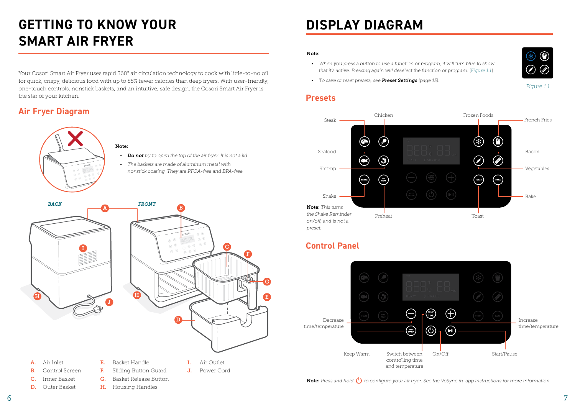## <span id="page-3-0"></span>**GETTING TO KNOW YOUR SMART AIR FRYER**

Your Cosori Smart Air Fryer uses rapid 360° air circulation technology to cook with little-to-no oil for quick, crispy, delicious food with up to 85% fewer calories than deep fryers. With user-friendly, one-touch controls, nonstick baskets, and an intuitive, safe design, the Cosori Smart Air Fryer is the star of your kitchen.

### **Air Fryer Diagram**



### Note:

- *• Do not try to open the top of the air fryer. It is not a lid.*
- *• The baskets are made of aluminum metal with nonstick coating. They are PFOA-free and BPA-free.*



## **DISPLAY DIAGRAM**

### Note:

- *• When you press a button to use a function or program, it will turn blue to show that it's active. Pressing again will deselect the function or program.* [*Figure 1.1*]
- *• To save or reset presets, see Preset Settings [\(page 13\)](#page-6-1).*

### **Presets**



### **Control Panel**



Note: Press and hold  $\bigcup$  to configure your air fryer. See the VeSync in-app instructions for more information.

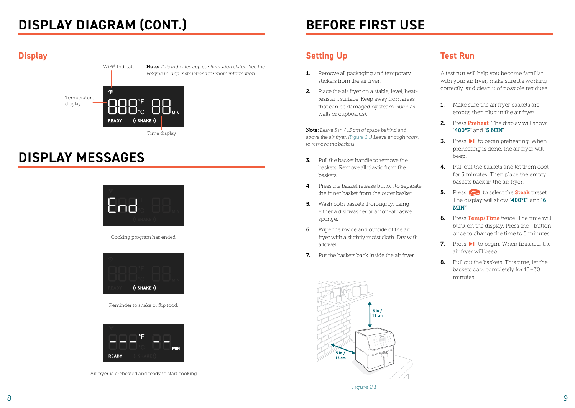## <span id="page-4-0"></span>**DISPLAY DIAGRAM (CONT.)**

### **Display**



**DISPLAY MESSAGES**



Cooking program has ended.



Reminder to shake or flip food.



Air fryer is preheated and ready to start cooking.

## **BEFORE FIRST USE**

### **Setting Up**

- 1. Remove all packaging and temporary stickers from the air fryer.
- 2. Place the air fryer on a stable, level, heatresistant surface. Keep away from areas that can be damaged by steam (such as walls or cupboards).

Note: *Leave 5 in / 13 cm of space behind and above the air fryer. [Figure 2.1] Leave enough room to remove the baskets.*

- **3.** Pull the basket handle to remove the baskets. Remove all plastic from the baskets.
- 4. Press the basket release button to separate the inner basket from the outer basket.
- **5.** Wash both baskets thoroughly, using either a dishwasher or a non-abrasive sponge.
- **6.** Wipe the inside and outside of the air fryer with a slightly moist cloth. Dry with a towel.
- 7. Put the baskets back inside the air fryer.



### <span id="page-4-1"></span>**Test Run**

A test run will help you become familiar with your air fryer, make sure it's working correctly, and clean it of possible residues.

- **1.** Make sure the air fryer baskets are empty, then plug in the air fryer.
- 2. Press Preheat. The display will show "400°F" and "5 MIN".
- **3.** Press  $\blacktriangleright$ II to begin preheating. When preheating is done, the air fryer will beep.
- 4. Pull out the baskets and let them cool for 5 minutes. Then place the empty baskets back in the air fryer.
- 5. Press  $\bigodot$  to select the **Steak** preset. The display will show "400°F" and "6 MIN".
- 6. Press Temp/Time twice. The time will blink on the display. Press the - button once to change the time to 5 minutes.
- 7. Press II to begin. When finished, the air fryer will beep.
- 8. Pull out the baskets. This time, let the baskets cool completely for 10–30 minutes.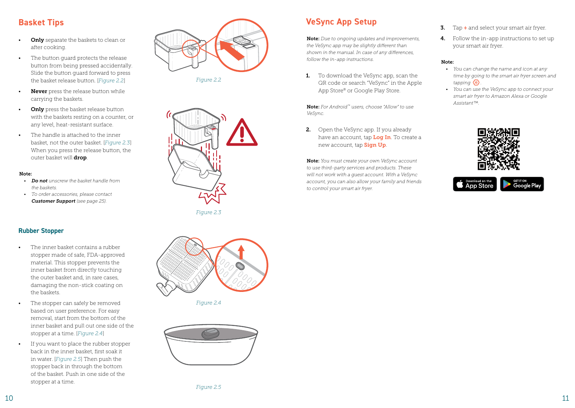- Only separate the baskets to clean or after cooking.
- The button guard protects the release button from being pressed accidentally. Slide the button guard forward to press the basket release button. [*Figure 2.2*]
- Never press the release button while carrying the baskets.
- Only press the basket release button with the baskets resting on a counter, or any level, heat-resistant surface.
- The handle is attached to the inner basket, not the outer basket. [*Figure 2.3*] When you press the release button, the outer basket will drop.

### Note:

- *• Do not unscrew the basket handle from the baskets.*
- *• To order accessories, please contact Customer Support (see [page 25](#page-12-1)).*

### **Rubber Stopper**

- The inner basket contains a rubber stopper made of safe, FDA-approved material. This stopper prevents the inner basket from directly touching the outer basket and, in rare cases, damaging the non-stick coating on the baskets.
- The stopper can safely be removed based on user preference. For easy removal, start from the bottom of the inner basket and pull out one side of the stopper at a time. [*Figure 2.4*]
- If you want to place the rubber stopper back in the inner basket, first soak it in water. [*Figure 2.5*] Then push the stopper back in through the bottom of the basket. Push in one side of the stopper at a time.

<span id="page-5-0"></span>

*Figure 2.2*



<span id="page-5-1"></span>Note: *Due to ongoing updates and improvements, the VeSync app may be slightly different than shown in the manual. In case of any differences, follow the in-app instructions.*

1. To download the VeSync app, scan the QR code or search "VeSync" in the Apple App Store® or Google Play Store.

Note: *For Android™ users, choose "Allow" to use VeSync.*

2. Open the VeSync app. If you already have an account, tap Log In. To create a new account, tap **Sign Up**.

Note: *You must create your own VeSync account to use third-party services and products. These will not work with a guest account. With a VeSync account, you can also allow your family and friends to control your smart air fryer.*

- 3. Tap  $+$  and select your smart air fryer.
- 4. Follow the in-app instructions to set up your smart air fryer.

### Note:

- *• You can change the name and icon at any time by going to the smart air fryer screen and*  tapping  $\mathcal{L}$ .
- *• You can use the VeSync app to connect your smart air fryer to Amazon Alexa or Google Assistant™.*







*Figure 2.4*

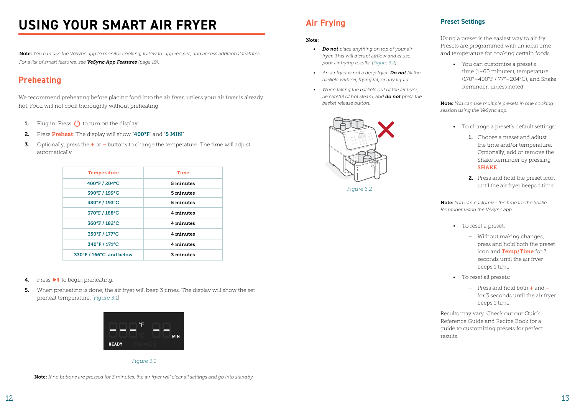## <span id="page-6-0"></span>**USING YOUR SMART AIR FRYER**

Note: *You can use the VeSync app to monitor cooking, follow in-app recipes, and access additional features. For a list of smart features, see VeSync App Features ([page 19\)](#page-9-1).*

### <span id="page-6-2"></span>**Preheating**

We recommend preheating before placing food into the air fryer, unless your air fryer is already hot. Food will not cook thoroughly without preheating.

- **1.** Plug in. Press  $\left(\frac{1}{2}\right)$  to turn on the display.
- 2. Press Preheat. The display will show "400°F" and "5 MIN".
- **3.** Optionally, press the  $+$  or  $-$  buttons to change the temperature. The time will adjust automatically.

| <b>Temperature</b>      | Time      |
|-------------------------|-----------|
| 400°F / 204°C           | 5 minutes |
| 390°F / 199°C           | 5 minutes |
| 380°F / 193°C           | 5 minutes |
| 370°F / 188°C           | 4 minutes |
| 360°F / 182°C           | 4 minutes |
| 350°F / 177°C           | 4 minutes |
| 340°F / 171°C           | 4 minutes |
| 330°F / 166°C and below | 3 minutes |
|                         |           |

- 4. Press  $\blacktriangleright$ II to begin preheating.
- 5. When preheating is done, the air fryer will beep 3 times. The display will show the set preheat temperature. [*Figure 3.1*]



*Figure 3.1*

### **Air Frying**

### Note:

- *• Do not place anything on top of your air fryer. This will disrupt airflow and cause poor air frying results. [Figure 3.2]*
- *• An air fryer is not a deep fryer. Do not fill the baskets with oil, frying fat, or any liquid.*
- *• When taking the baskets out of the air fryer, be careful of hot steam, and do not press the basket release button.*



*Figure 3.2*

### <span id="page-6-1"></span>**Preset Settings**

Using a preset is the easiest way to air fry. Presets are programmed with an ideal time and temperature for cooking certain foods.

> • You can customize a preset's time (1–60 minutes), temperature (170°–400°F / 77°–204°C), and Shake Reminder, unless noted.

Note: *You can use multiple presets in one cooking session using the VeSync app.*

- To change a preset's default settings:
	- 1. Choose a preset and adjust the time and/or temperature. Optionally, add or remove the Shake Reminder by pressing SHAKE.
	- 2. Press and hold the preset icon until the air fryer beeps 1 time.

Note: *You can customize the time for the Shake Reminder using the VeSync app.* 

- To reset a preset:
	- Without making changes, press and hold both the preset icon and Temp/Time for 3 seconds until the air fryer beeps 1 time.
- To reset all presets:
	- $-$  Press and hold both  $+$  and  $$ for 3 seconds until the air fryer beeps 1 time.

Results may vary. Check out our Quick Reference Guide and Recipe Book for a guide to customizing presets for perfect results.

Note: *If no buttons are pressed for 3 minutes, the air fryer will clear all settings and go into standby.*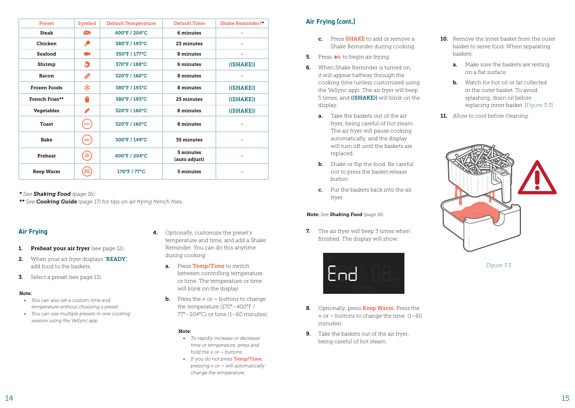| <b>Preset</b>       | <b>Symbol</b> | <b>Default Temperature</b> | <b>Default Time</b>        | <b>Shake Reminder?*</b> |
|---------------------|---------------|----------------------------|----------------------------|-------------------------|
| <b>Steak</b>        | $\bullet$     | 400°F / 204°C              | 6 minutes                  |                         |
| Chicken             | ∕             | 380°F / 193°C              | 23 minutes                 |                         |
| Seafood             | $\bullet$     | 350°F / 177°C              | 8 minutes                  | ۰                       |
| Shrimp              | J             | 370°F / 188°C              | 6 minutes                  | ((SHAKE))               |
| Bacon               | J             | 320°F / 160°C              | 8 minutes                  |                         |
| <b>Frozen Foods</b> | ∗             | 380°F / 193°C              | 8 minutes                  | ((SHAKE))               |
| French Fries**      | œ             | 380°F / 193°C              | 25 minutes                 | ((SHAKE))               |
| <b>Vegetables</b>   | Í             | 320°F / 160°C              | 8 minutes                  | ((SHAKE))               |
| Toast               | <b>TOAST</b>  | 320°F / 160°C              | 8 minutes                  |                         |
| Bake                | <b>BAKE</b>   | 300°F / 149°C              | 35 minutes                 |                         |
| Preheat             | PRE<br>HEAT   | 400°F / 204°C              | 5 minutes<br>(auto adjust) |                         |
| Keep Warm           | KEEP<br>WARM  | 170°F / 77°C               | 5 minutes                  |                         |

*\* See Shaking Food [\(page 16\)](#page-8-1).*

*\*\* See Cooking Guide [\(page 17\)](#page-8-2) for tips on air frying french fries.*

### **Air Frying**

- 1. Preheat your air fryer (see [page 12](#page-6-2)).
- 2. When your air fryer displays "READY", add food to the baskets.
- **3.** Select a preset (see [page 13](#page-6-1)).

### Note:

- *• You can also set a custom time and temperature without choosing a preset.*
- *• You can use multiple presets in one cooking session using the VeSync app.*
- 4. Optionally, customize the preset's temperature and time, and add a Shake Reminder. You can do this anytime during cooking.
	- a. Press Temp/Time to switch between controlling temperature or time. The temperature or time will blink on the display.
	- **b.** Press the  $+$  or  $-$  buttons to change the temperature (170°–400°F / 77°–204°C) or time (1–60 minutes).

### Note:

- *• To rapidly increase or decrease time or temperature, press and hold the* + *or* – *buttons.*
- *• If you do not press* Temp/Time*, pressing* + *or* – *will automatically change the temperature.*

### **Air Frying (cont.)**

- c. Press **SHAKE** to add or remove a Shake Reminder during cooking.
- **5.** Press  $\blacktriangleright$ II to begin air frying.
- 6. When Shake Reminder is turned on it will appear halfway through the cooking time (unless customized using the VeSync app). The air fryer will beep 5 times, and ((SHAKE)) will blink on the display.
	- **a.** Take the baskets out of the air fryer, being careful of hot steam. The air fryer will pause cooking automatically, and the display will turn off until the baskets are replaced.
	- **b.** Shake or flip the food. Be careful not to press the basket release button.
	- c. Put the baskets back into the air fryer.

### Note: *See Shaking Food (page 16).*

7. The air fryer will beep 3 times when finished. The display will show:



- 8. Optionally, press **Keep Warm**. Press the  $+$  or  $-$  buttons to change the time  $(1-60)$ minutes).
- **9.** Take the baskets out of the air fryer, being careful of hot steam.
- 10. Remove the inner basket from the outer basket to serve food. When separating baskets:
	- **a.** Make sure the baskets are resting on a flat surface.
	- **b.** Watch for hot oil or fat collected in the outer basket. To avoid splashing, drain oil before replacing inner basket. [*Figure 3.3*]
- 11. Allow to cool before cleaning.



*Figure 3.3*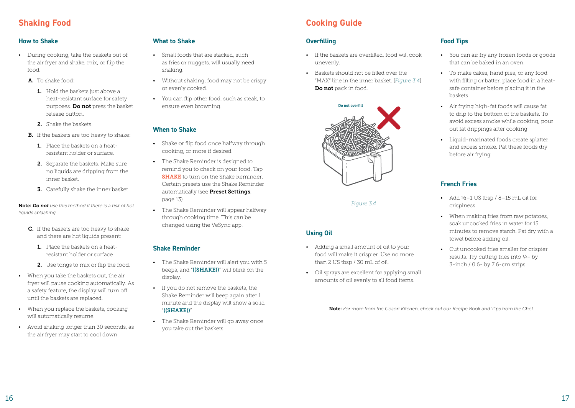### <span id="page-8-1"></span><span id="page-8-0"></span>**Shaking Food**

### **How to Shake What to Shake**

- During cooking, take the baskets out of the air fryer and shake, mix, or flip the food.
	- A. To shake food:
		- 1. Hold the baskets just above a heat-resistant surface for safety purposes. Do not press the basket release button.
		- 2. Shake the baskets.
	- **B.** If the baskets are too heavy to shake:
		- 1. Place the baskets on a heatresistant holder or surface.
		- 2. Separate the baskets. Make sure no liquids are dripping from the inner basket.
		- **3.** Carefully shake the inner basket.

Note: *Do not use this method if there is a risk of hot liquids splashing.*

- C. If the baskets are too heavy to shake and there are hot liquids present:
	- 1. Place the baskets on a heatresistant holder or surface.
	- 2. Use tongs to mix or flip the food.
- When you take the baskets out, the air fryer will pause cooking automatically. As a safety feature, the display will turn off until the baskets are replaced.
- When you replace the baskets, cooking will automatically resume.
- Avoid shaking longer than 30 seconds, as the air fryer may start to cool down.

- Small foods that are stacked, such as fries or nuggets, will usually need shaking.
- Without shaking, food may not be crispy or evenly cooked.
- You can flip other food, such as steak, to ensure even browning.

### **When to Shake**

- Shake or flip food once halfway through cooking, or more if desired.
- The Shake Reminder is designed to remind you to check on your food. Tap **SHAKE** to turn on the Shake Reminder. Certain presets use the Shake Reminder automatically (see Preset Settings, [page 13](#page-6-1)).
- The Shake Reminder will appear halfway through cooking time. This can be changed using the VeSync app.

### **Shake Reminder**

- The Shake Reminder will alert you with 5 beeps, and "((SHAKE))" will blink on the display.
- If you do not remove the baskets, the Shake Reminder will beep again after 1 minute and the display will show a solid "((SHAKE))".
- The Shake Reminder will go away once you take out the baskets.

### <span id="page-8-2"></span>**Cooking Guide**

### **Overfilling**

- If the baskets are overfilled, food will cook unevenly.
- Baskets should not be filled over the "MAX" line in the inner basket. [*Figure 3.4*] Do not pack in food.



*Figure 3.4*

### **Using Oil**

- Adding a small amount of oil to your food will make it crispier. Use no more than 2 US tbsp / 30 mL of oil.
- Oil sprays are excellent for applying small amounts of oil evenly to all food items.

### **Food Tips**

- You can air fry any frozen foods or goods that can be baked in an oven.
- To make cakes, hand pies, or any food with filling or batter, place food in a heatsafe container before placing it in the baskets.
- Air frying high-fat foods will cause fat to drip to the bottom of the baskets. To avoid excess smoke while cooking, pour out fat drippings after cooking.
- Liquid-marinated foods create splatter and excess smoke. Pat these foods dry before air frying.

### <span id="page-8-3"></span>**French Fries**

- Add ½–1 US tbsp / 8–15 mL oil for crispiness.
- When making fries from raw potatoes, soak uncooked fries in water for 15 minutes to remove starch. Pat dry with a towel before adding oil.
- Cut uncooked fries smaller for crispier results. Try cutting fries into ¼- by 3-inch / 0.6- by 7.6-cm strips.

Note: *For more from the Cosori Kitchen, check out our Recipe Book and Tips from the Chef.*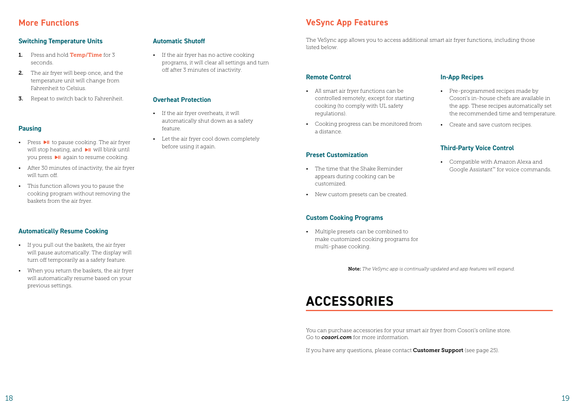### <span id="page-9-0"></span>**More Functions**

### **Switching Temperature Units**

- 1. Press and hold **Temp/Time** for 3 seconds.
- 2. The air fryer will beep once, and the temperature unit will change from Fahrenheit to Celsius.
- **3.** Repeat to switch back to Fahrenheit.

### **Pausing**

- $\cdot$  Press  $\blacktriangleright$ II to pause cooking. The air fryer will stop heating, and  $\blacktriangleright$ II will blink until you press  $\blacktriangleright$ II again to resume cooking.
- After 30 minutes of inactivity, the air fryer will turn off.
- This function allows you to pause the cooking program without removing the baskets from the air fryer.

### **Automatically Resume Cooking**

- If you pull out the baskets, the air fryer will pause automatically. The display will turn off temporarily as a safety feature.
- When you return the baskets, the air fryer will automatically resume based on your previous settings.

### **Automatic Shutoff**

• If the air fryer has no active cooking programs, it will clear all settings and turn off after 3 minutes of inactivity.

### **Overheat Protection**

- If the air fryer overheats, it will automatically shut down as a safety feature.
- Let the air fryer cool down completely before using it again.

### <span id="page-9-1"></span>**VeSync App Features**

The VeSync app allows you to access additional smart air fryer functions, including those listed below.

### **Remote Control**

- All smart air fryer functions can be controlled remotely, except for starting cooking (to comply with UL safety regulations).
- Cooking progress can be monitored from a distance.

### **Preset Customization**

- appears during cooking can be customized.
- New custom presets can be created.

### **Custom Cooking Programs**

• Multiple presets can be combined to make customized cooking programs for multi-phase cooking.

### **In-App Recipes**

- Pre-programmed recipes made by Cosori's in-house chefs are available in the app. These recipes automatically set the recommended time and temperature.
- Create and save custom recipes.

### **Third-Party Voice Control**

• Compatible with Amazon Alexa and • The time that the Shake Reminder for voice commands. Google Assistant™ for voice commands.

Note: *The VeSync app is continually updated and app features will expand.*

## **ACCESSORIES**

You can purchase accessories for your smart air fryer from Cosori's online store. Go to *cosori.com* for more information.

If you have any questions, please contact **Customer Support** (see [page 25](#page-12-1)).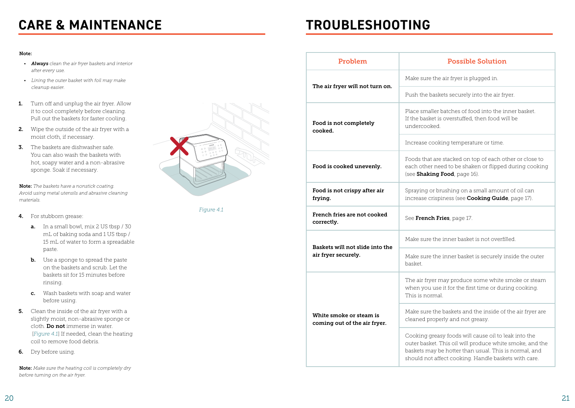## <span id="page-10-0"></span>**CARE & MAINTENANCE**

## **TROUBLESHOOTING**

### Note:

- *• Always clean the air fryer baskets and interior after every use.*
- *• Lining the outer basket with foil may make cleanup easier.*
- **1.** Turn off and unplug the air fryer. Allow it to cool completely before cleaning. Pull out the baskets for faster cooling.
- **2.** Wipe the outside of the air fryer with a moist cloth, if necessary.
- **3.** The baskets are dishwasher safe. You can also wash the baskets with hot, soapy water and a non-abrasive sponge. Soak if necessary.

Note: *The baskets have a nonstick coating. Avoid using metal utensils and abrasive cleaning materials.*

### 4. For stubborn grease:

- a. In a small bowl, mix 2 US tbsp / 30 mL of baking soda and 1 US tbsp / 15 mL of water to form a spreadable paste.
- **b.** Use a sponge to spread the paste on the baskets and scrub. Let the baskets sit for 15 minutes before rinsing.
- c. Wash baskets with soap and water before using.
- **5.** Clean the inside of the air fryer with a slightly moist, non-abrasive sponge or cloth. **Do not** immerse in water [*Figure 4.1*] If needed, clean the heating coil to remove food debris.
- 6. Dry before using.

Note: *Make sure the heating coil is completely dry before turning on the air fryer.*



*Figure 4.1*

| Problem                                                 | <b>Possible Solution</b>                                                                                                                                                                                                          |  |
|---------------------------------------------------------|-----------------------------------------------------------------------------------------------------------------------------------------------------------------------------------------------------------------------------------|--|
| The air fryer will not turn on.                         | Make sure the air fryer is plugged in.                                                                                                                                                                                            |  |
|                                                         | Push the baskets securely into the air fryer.                                                                                                                                                                                     |  |
| Food is not completely<br>cooked.                       | Place smaller batches of food into the inner basket.<br>If the basket is overstuffed, then food will be<br>undercooked.                                                                                                           |  |
|                                                         | Increase cooking temperature or time.                                                                                                                                                                                             |  |
| Food is cooked unevenly.                                | Foods that are stacked on top of each other or close to<br>each other need to be shaken or flipped during cooking<br>(see <b>Shaking Food</b> , page 16).                                                                         |  |
| Food is not crispy after air<br>frying.                 | Spraying or brushing on a small amount of oil can<br>increase crispiness (see <b>Cooking Guide</b> , page 17).                                                                                                                    |  |
| French fries are not cooked<br>correctly.               | See French Fries, page 17.                                                                                                                                                                                                        |  |
| Baskets will not slide into the<br>air fryer securely.  | Make sure the inner basket is not overfilled.                                                                                                                                                                                     |  |
|                                                         | Make sure the inner basket is securely inside the outer<br>basket.                                                                                                                                                                |  |
| White smoke or steam is<br>coming out of the air fryer. | The air fryer may produce some white smoke or steam<br>when you use it for the first time or during cooking.<br>This is normal.                                                                                                   |  |
|                                                         | Make sure the baskets and the inside of the air fryer are<br>cleaned properly and not greasy.                                                                                                                                     |  |
|                                                         | Cooking greasy foods will cause oil to leak into the<br>outer basket. This oil will produce white smoke, and the<br>baskets may be hotter than usual. This is normal, and<br>should not affect cooking. Handle baskets with care. |  |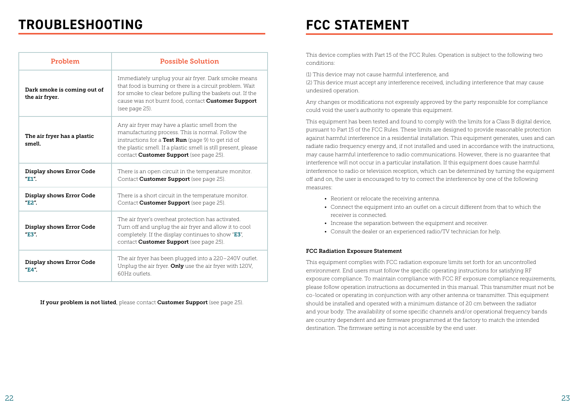## <span id="page-11-0"></span>**TROUBLESHOOTING**

| Problem                                       | <b>Possible Solution</b>                                                                                                                                                                                                                                                       |  |
|-----------------------------------------------|--------------------------------------------------------------------------------------------------------------------------------------------------------------------------------------------------------------------------------------------------------------------------------|--|
| Dark smoke is coming out of<br>the air fryer. | Immediately unplug your air fryer. Dark smoke means<br>that food is burning or there is a circuit problem. Wait<br>for smoke to clear before pulling the baskets out. If the<br>cause was not burnt food, contact <b>Customer Support</b><br>(see page 25).                    |  |
| The air fryer has a plastic<br>smell.         | Any air fryer may have a plastic smell from the<br>manufacturing process. This is normal. Follow the<br>instructions for a Test Run (page 9) to get rid of<br>the plastic smell. If a plastic smell is still present, please<br>contact <b>Customer Support</b> (see page 25). |  |
| Display shows Error Code<br>"E1".             | There is an open circuit in the temperature monitor.<br>Contact <b>Customer Support</b> (see page 25).                                                                                                                                                                         |  |
| Display shows Error Code<br>"E2".             | There is a short circuit in the temperature monitor.<br>Contact <b>Customer Support</b> (see page 25).                                                                                                                                                                         |  |
| Display shows Error Code<br>"E3".             | The air fryer's overheat protection has activated.<br>Turn off and unplug the air fryer and allow it to cool<br>completely. If the display continues to show "E3",<br>contact <b>Customer Support</b> (see page 25).                                                           |  |
| Display shows Error Code<br>"E4"              | The air fryer has been plugged into a 220-240V outlet.<br>Unplug the air fryer. Only use the air fryer with 120V,<br>60Hz outlets.                                                                                                                                             |  |

If your problem is not listed, please contact Customer Support (see [page 25](#page-12-1)).

## **FCC STATEMENT**

This device complies with Part 15 of the FCC Rules. Operation is subject to the following two conditions:

(1) This device may not cause harmful interference, and

(2) This device must accept any interference received, including interference that may cause undesired operation.

Any changes or modifications not expressly approved by the party responsible for compliance could void the user's authority to operate this equipment.

This equipment has been tested and found to comply with the limits for a Class B digital device, pursuant to Part 15 of the FCC Rules. These limits are designed to provide reasonable protection against harmful interference in a residential installation. This equipment generates, uses and can radiate radio frequency energy and, if not installed and used in accordance with the instructions, may cause harmful interference to radio communications. However, there is no guarantee that interference will not occur in a particular installation. If this equipment does cause harmful interference to radio or television reception, which can be determined by turning the equipment off and on, the user is encouraged to try to correct the interference by one of the following measures:

- Reorient or relocate the receiving antenna.
- Connect the equipment into an outlet on a circuit different from that to which the receiver is connected.
- Increase the separation between the equipment and receiver.
- Consult the dealer or an experienced radio/TV technician for help.

### FCC Radiation Exposure Statement

This equipment complies with FCC radiation exposure limits set forth for an uncontrolled environment. End users must follow the specific operating instructions for satisfying RF exposure compliance. To maintain compliance with FCC RF exposure compliance requirements, please follow operation instructions as documented in this manual. This transmitter must not be co-located or operating in conjunction with any other antenna or transmitter. This equipment should be installed and operated with a minimum distance of 20 cm between the radiator and your body. The availability of some specific channels and/or operational frequency bands are country dependent and are firmware programmed at the factory to match the intended destination. The firmware setting is not accessible by the end user.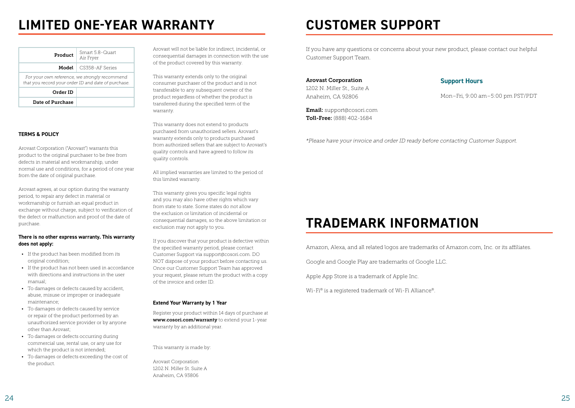## <span id="page-12-0"></span>**LIMITED ONE-YEAR WARRANTY**

| Product                                                                                              | $Smart 5.8-Quart$<br>Air Fryer |  |
|------------------------------------------------------------------------------------------------------|--------------------------------|--|
| IehoM                                                                                                | CS358-AF Series                |  |
| For your own reference, we strongly recommend<br>that you record your order ID and date of purchase. |                                |  |
| Order ID                                                                                             |                                |  |
| Date of Purchase                                                                                     |                                |  |

### **TERMS & POLICY**

Arovast Corporation ("Arovast") warrants this product to the original purchaser to be free from defects in material and workmanship, under normal use and conditions, for a period of one year from the date of original purchase.

Arovast agrees, at our option during the warranty period, to repair any defect in material or workmanship or furnish an equal product in exchange without charge, subject to verification of the defect or malfunction and proof of the date of purchase.

### **There is no other express warranty. This warranty does not apply:**

- If the product has been modified from its original condition;
- If the product has not been used in accordance with directions and instructions in the user manual;
- To damages or defects caused by accident, abuse, misuse or improper or inadequate maintenance;
- To damages or defects caused by service or repair of the product performed by an unauthorized service provider or by anyone other than Arovast;
- To damages or defects occurring during commercial use, rental use, or any use for which the product is not intended;
- To damages or defects exceeding the cost of the product.

Arovast will not be liable for indirect, incidental, or consequential damages in connection with the use of the product covered by this warranty.

This warranty extends only to the original consumer purchaser of the product and is not transferable to any subsequent owner of the product regardless of whether the product is transferred during the specified term of the warranty.

This warranty does not extend to products purchased from unauthorized sellers. Arovast's warranty extends only to products purchased from authorized sellers that are subject to Arovast's quality controls and have agreed to follow its quality controls.

All implied warranties are limited to the period of this limited warranty.

This warranty gives you specific legal rights and you may also have other rights which vary from state to state. Some states do not allow the exclusion or limitation of incidental or consequential damages, so the above limitation or exclusion may not apply to you.

If you discover that your product is defective within the specified warranty period, please contact Customer Support via support@cosori.com. DO NOT dispose of your product before contacting us. Once our Customer Support Team has approved your request, please return the product with a copy of the invoice and order ID.

### **Extend Your Warranty by 1 Year**

Register your product within 14 days of purchase at www.cosori.com/warranty to extend your 1-year warranty by an additional year.

This warranty is made by:

Arovast Corporation 1202 N. Miller St. Suite A Anaheim, CA 93806

## <span id="page-12-1"></span>**CUSTOMER SUPPORT**

If you have any questions or concerns about your new product, please contact our helpful Customer Support Team.

Arovast Corporation 1202 N. Miller St., Suite A Anaheim, CA 92806

Email: support@cosori.com Toll-Free: (888) 402-1684

### **Support Hours**

Mon–Fri, 9:00 am–5:00 pm PST/PDT

*\*Please have your invoice and order ID ready before contacting Customer Support.*

## **TRADEMARK INFORMATION**

Amazon, Alexa, and all related logos are trademarks of Amazon.com, Inc. or its affiliates.

Google and Google Play are trademarks of Google LLC.

Apple App Store is a trademark of Apple Inc.

Wi-Fi® is a registered trademark of Wi-Fi Alliance®.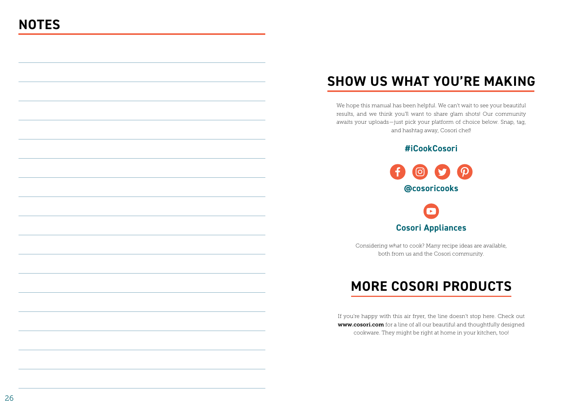## **SHOW US WHAT YOU'RE MAKING**

We hope this manual has been helpful. We can't wait to see your beautiful results, and we think you'll want to share glam shots! Our community awaits your uploads—just pick your platform of choice below. Snap, tag, and hashtag away, Cosori chef!

> **#iCookCosori**  $\boldsymbol{\varphi}$ (0) **@cosoricooks** ТÞ. **Cosori Appliances**

Considering *what* to cook? Many recipe ideas are available, both from us and the Cosori community.

## **MORE COSORI PRODUCTS**

If you're happy with this air fryer, the line doesn't stop here. Check out www.cosori.com for a line of all our beautiful and thoughtfully designed cookware. They might be right at home in your kitchen, too!